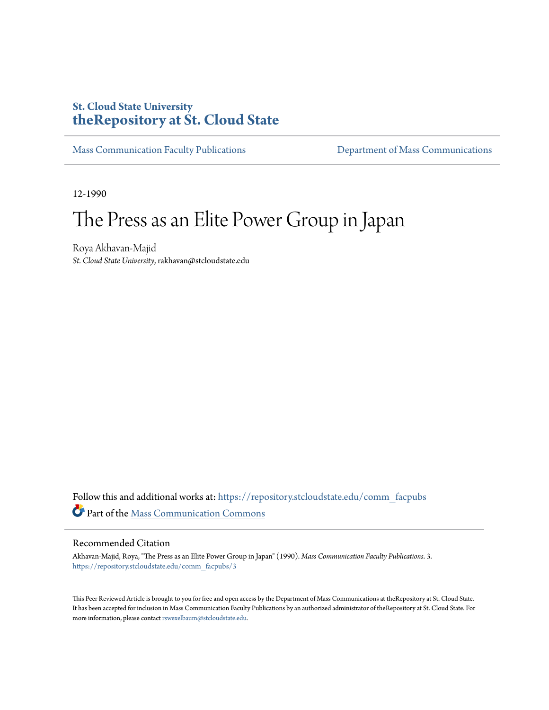# **St. Cloud State University [theRepository at St. Cloud State](https://repository.stcloudstate.edu?utm_source=repository.stcloudstate.edu%2Fcomm_facpubs%2F3&utm_medium=PDF&utm_campaign=PDFCoverPages)**

[Mass Communication Faculty Publications](https://repository.stcloudstate.edu/comm_facpubs?utm_source=repository.stcloudstate.edu%2Fcomm_facpubs%2F3&utm_medium=PDF&utm_campaign=PDFCoverPages) [Department of Mass Communications](https://repository.stcloudstate.edu/comm?utm_source=repository.stcloudstate.edu%2Fcomm_facpubs%2F3&utm_medium=PDF&utm_campaign=PDFCoverPages)

12-1990

# The Press as an Elite Power Group in Japan

Roya Akhavan-Majid *St. Cloud State University*, rakhavan@stcloudstate.edu

Follow this and additional works at: [https://repository.stcloudstate.edu/comm\\_facpubs](https://repository.stcloudstate.edu/comm_facpubs?utm_source=repository.stcloudstate.edu%2Fcomm_facpubs%2F3&utm_medium=PDF&utm_campaign=PDFCoverPages) Part of the [Mass Communication Commons](http://network.bepress.com/hgg/discipline/334?utm_source=repository.stcloudstate.edu%2Fcomm_facpubs%2F3&utm_medium=PDF&utm_campaign=PDFCoverPages)

#### Recommended Citation

Akhavan-Majid, Roya, "The Press as an Elite Power Group in Japan" (1990). *Mass Communication Faculty Publications*. 3. [https://repository.stcloudstate.edu/comm\\_facpubs/3](https://repository.stcloudstate.edu/comm_facpubs/3?utm_source=repository.stcloudstate.edu%2Fcomm_facpubs%2F3&utm_medium=PDF&utm_campaign=PDFCoverPages)

This Peer Reviewed Article is brought to you for free and open access by the Department of Mass Communications at theRepository at St. Cloud State. It has been accepted for inclusion in Mass Communication Faculty Publications by an authorized administrator of theRepository at St. Cloud State. For more information, please contact [rswexelbaum@stcloudstate.edu](mailto:rswexelbaum@stcloudstate.edu).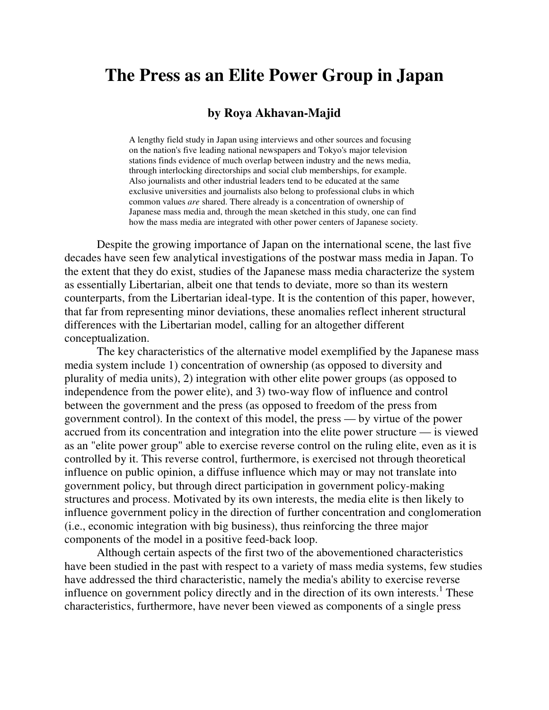# **The Press as an Elite Power Group in Japan**

# **by Roya Akhavan-Majid**

A lengthy field study in Japan using interviews and other sources and focusing on the nation's five leading national newspapers and Tokyo's major television stations finds evidence of much overlap between industry and the news media, through interlocking directorships and social club memberships, for example. Also journalists and other industrial leaders tend to be educated at the same exclusive universities and journalists also belong to professional clubs in which common values *are* shared. There already is a concentration of ownership of Japanese mass media and, through the mean sketched in this study, one can find how the mass media are integrated with other power centers of Japanese society.

Despite the growing importance of Japan on the international scene, the last five decades have seen few analytical investigations of the postwar mass media in Japan. To the extent that they do exist, studies of the Japanese mass media characterize the system as essentially Libertarian, albeit one that tends to deviate, more so than its western counterparts, from the Libertarian ideal-type. It is the contention of this paper, however, that far from representing minor deviations, these anomalies reflect inherent structural differences with the Libertarian model, calling for an altogether different conceptualization.

The key characteristics of the alternative model exemplified by the Japanese mass media system include 1) concentration of ownership (as opposed to diversity and plurality of media units), 2) integration with other elite power groups (as opposed to independence from the power elite), and 3) two-way flow of influence and control between the government and the press (as opposed to freedom of the press from government control). In the context of this model, the press — by virtue of the power accrued from its concentration and integration into the elite power structure — is viewed as an "elite power group" able to exercise reverse control on the ruling elite, even as it is controlled by it. This reverse control, furthermore, is exercised not through theoretical influence on public opinion, a diffuse influence which may or may not translate into government policy, but through direct participation in government policy-making structures and process. Motivated by its own interests, the media elite is then likely to influence government policy in the direction of further concentration and conglomeration (i.e., economic integration with big business), thus reinforcing the three major components of the model in a positive feed-back loop.

Although certain aspects of the first two of the abovementioned characteristics have been studied in the past with respect to a variety of mass media systems, few studies have addressed the third characteristic, namely the media's ability to exercise reverse influence on government policy directly and in the direction of its own interests.<sup>1</sup> These characteristics, furthermore, have never been viewed as components of a single press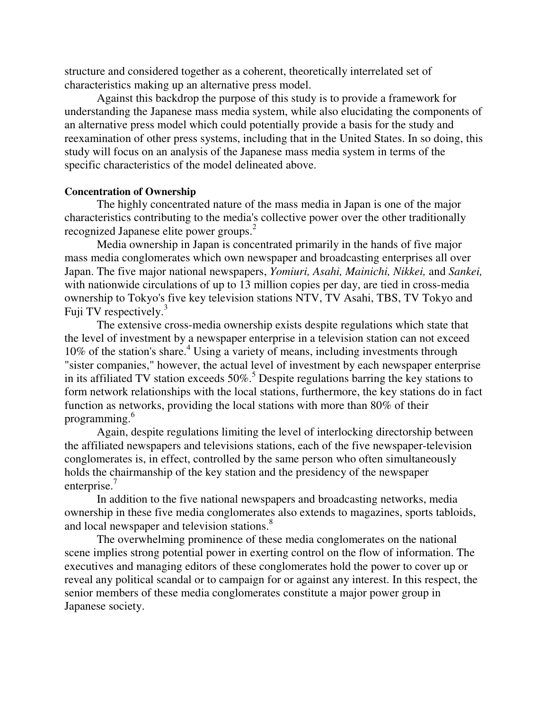structure and considered together as a coherent, theoretically interrelated set of characteristics making up an alternative press model.

Against this backdrop the purpose of this study is to provide a framework for understanding the Japanese mass media system, while also elucidating the components of an alternative press model which could potentially provide a basis for the study and reexamination of other press systems, including that in the United States. In so doing, this study will focus on an analysis of the Japanese mass media system in terms of the specific characteristics of the model delineated above.

# **Concentration of Ownership**

The highly concentrated nature of the mass media in Japan is one of the major characteristics contributing to the media's collective power over the other traditionally recognized Japanese elite power groups.<sup>2</sup>

Media ownership in Japan is concentrated primarily in the hands of five major mass media conglomerates which own newspaper and broadcasting enterprises all over Japan. The five major national newspapers, *Yomiuri, Asahi, Mainichi, Nikkei,* and *Sankei,*  with nationwide circulations of up to 13 million copies per day, are tied in cross-media ownership to Tokyo's five key television stations NTV, TV Asahi, TBS, TV Tokyo and Fuji TV respectively.<sup>3</sup>

The extensive cross-media ownership exists despite regulations which state that the level of investment by a newspaper enterprise in a television station can not exceed 10% of the station's share.<sup>4</sup> Using a variety of means, including investments through "sister companies," however, the actual level of investment by each newspaper enterprise in its affiliated TV station exceeds  $50\%$ .<sup>5</sup> Despite regulations barring the key stations to form network relationships with the local stations, furthermore, the key stations do in fact function as networks, providing the local stations with more than 80% of their programming.<sup>6</sup>

Again, despite regulations limiting the level of interlocking directorship between the affiliated newspapers and televisions stations, each of the five newspaper-television conglomerates is, in effect, controlled by the same person who often simultaneously holds the chairmanship of the key station and the presidency of the newspaper enterprise. $<sup>7</sup>$ </sup>

In addition to the five national newspapers and broadcasting networks, media ownership in these five media conglomerates also extends to magazines, sports tabloids, and local newspaper and television stations.<sup>8</sup>

The overwhelming prominence of these media conglomerates on the national scene implies strong potential power in exerting control on the flow of information. The executives and managing editors of these conglomerates hold the power to cover up or reveal any political scandal or to campaign for or against any interest. In this respect, the senior members of these media conglomerates constitute a major power group in Japanese society.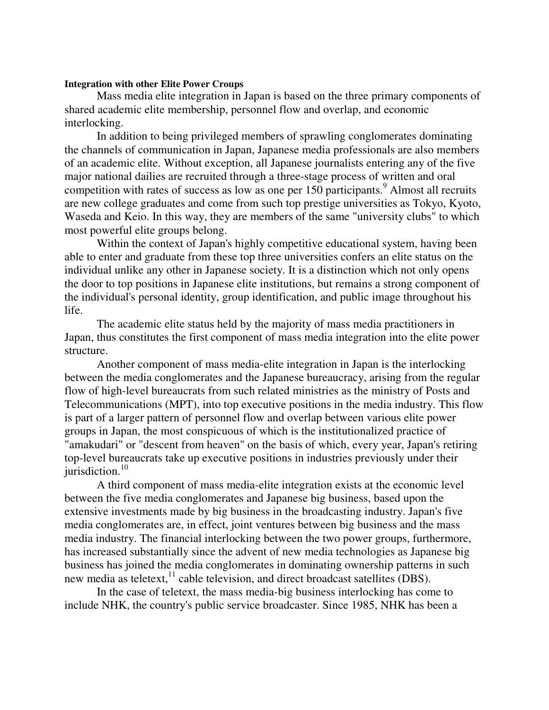## **Integration with other Elite Power Croups**

Mass media elite integration in Japan is based on the three primary components of shared academic elite membership, personnel flow and overlap, and economic interlocking.

In addition to being privileged members of sprawling conglomerates dominating the channels of communication in Japan, Japanese media professionals are also members of an academic elite. Without exception, all Japanese journalists entering any of the five major national dailies are recruited through a three-stage process of written and oral competition with rates of success as low as one per 150 participants.<sup>9</sup> Almost all recruits are new college graduates and come from such top prestige universities as Tokyo, Kyoto, Waseda and Keio. In this way, they are members of the same "university clubs" to which most powerful elite groups belong.

Within the context of Japan's highly competitive educational system, having been able to enter and graduate from these top three universities confers an elite status on the individual unlike any other in Japanese society. It is a distinction which not only opens the door to top positions in Japanese elite institutions, but remains a strong component of the individual's personal identity, group identification, and public image throughout his life.

The academic elite status held by the majority of mass media practitioners in Japan, thus constitutes the first component of mass media integration into the elite power structure.

Another component of mass media-elite integration in Japan is the interlocking between the media conglomerates and the Japanese bureaucracy, arising from the regular flow of high-level bureaucrats from such related ministries as the ministry of Posts and Telecommunications (MPT), into top executive positions in the media industry. This flow is part of a larger pattern of personnel flow and overlap between various elite power groups in Japan, the most conspicuous of which is the institutionalized practice of "amakudari" or "descent from heaven" on the basis of which, every year, Japan's retiring top-level bureaucrats take up executive positions in industries previously under their jurisdiction.<sup>10</sup>

A third component of mass media-elite integration exists at the economic level between the five media conglomerates and Japanese big business, based upon the extensive investments made by big business in the broadcasting industry. Japan's five media conglomerates are, in effect, joint ventures between big business and the mass media industry. The financial interlocking between the two power groups, furthermore, has increased substantially since the advent of new media technologies as Japanese big business has joined the media conglomerates in dominating ownership patterns in such new media as teletext, $^{11}$  cable television, and direct broadcast satellites (DBS).

In the case of teletext, the mass media-big business interlocking has come to include NHK, the country's public service broadcaster. Since 1985, NHK has been a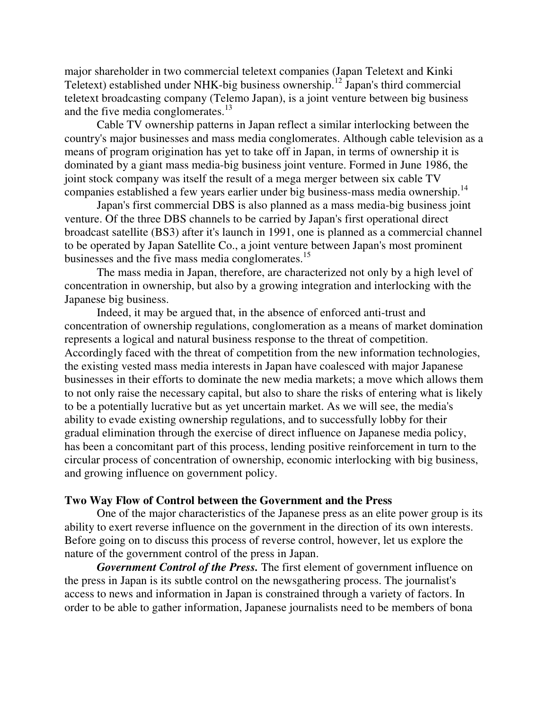major shareholder in two commercial teletext companies (Japan Teletext and Kinki Teletext) established under NHK-big business ownership.<sup>12</sup> Japan's third commercial teletext broadcasting company (Telemo Japan), is a joint venture between big business and the five media conglomerates.<sup>13</sup>

Cable TV ownership patterns in Japan reflect a similar interlocking between the country's major businesses and mass media conglomerates. Although cable television as a means of program origination has yet to take off in Japan, in terms of ownership it is dominated by a giant mass media-big business joint venture. Formed in June 1986, the joint stock company was itself the result of a mega merger between six cable TV companies established a few years earlier under big business-mass media ownership.<sup>14</sup>

Japan's first commercial DBS is also planned as a mass media-big business joint venture. Of the three DBS channels to be carried by Japan's first operational direct broadcast satellite (BS3) after it's launch in 1991, one is planned as a commercial channel to be operated by Japan Satellite Co., a joint venture between Japan's most prominent businesses and the five mass media conglomerates.<sup>15</sup>

The mass media in Japan, therefore, are characterized not only by a high level of concentration in ownership, but also by a growing integration and interlocking with the Japanese big business.

Indeed, it may be argued that, in the absence of enforced anti-trust and concentration of ownership regulations, conglomeration as a means of market domination represents a logical and natural business response to the threat of competition. Accordingly faced with the threat of competition from the new information technologies, the existing vested mass media interests in Japan have coalesced with major Japanese businesses in their efforts to dominate the new media markets; a move which allows them to not only raise the necessary capital, but also to share the risks of entering what is likely to be a potentially lucrative but as yet uncertain market. As we will see, the media's ability to evade existing ownership regulations, and to successfully lobby for their gradual elimination through the exercise of direct influence on Japanese media policy, has been a concomitant part of this process, lending positive reinforcement in turn to the circular process of concentration of ownership, economic interlocking with big business, and growing influence on government policy.

## **Two Way Flow of Control between the Government and the Press**

One of the major characteristics of the Japanese press as an elite power group is its ability to exert reverse influence on the government in the direction of its own interests. Before going on to discuss this process of reverse control, however, let us explore the nature of the government control of the press in Japan.

*Government Control of the Press.* The first element of government influence on the press in Japan is its subtle control on the newsgathering process. The journalist's access to news and information in Japan is constrained through a variety of factors. In order to be able to gather information, Japanese journalists need to be members of bona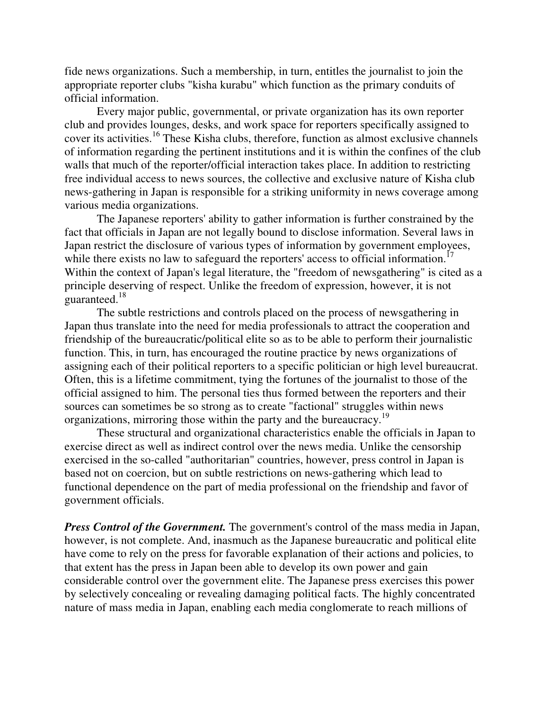fide news organizations. Such a membership, in turn, entitles the journalist to join the appropriate reporter clubs "kisha kurabu" which function as the primary conduits of official information.

Every major public, governmental, or private organization has its own reporter club and provides lounges, desks, and work space for reporters specifically assigned to cover its activities.<sup>16</sup> These Kisha clubs, therefore, function as almost exclusive channels of information regarding the pertinent institutions and it is within the confines of the club walls that much of the reporter/official interaction takes place. In addition to restricting free individual access to news sources, the collective and exclusive nature of Kisha club news-gathering in Japan is responsible for a striking uniformity in news coverage among various media organizations.

The Japanese reporters' ability to gather information is further constrained by the fact that officials in Japan are not legally bound to disclose information. Several laws in Japan restrict the disclosure of various types of information by government employees, while there exists no law to safeguard the reporters' access to official information.<sup>17</sup> Within the context of Japan's legal literature, the "freedom of newsgathering" is cited as a principle deserving of respect. Unlike the freedom of expression, however, it is not guaranteed.<sup>18</sup>

The subtle restrictions and controls placed on the process of newsgathering in Japan thus translate into the need for media professionals to attract the cooperation and friendship of the bureaucratic/political elite so as to be able to perform their journalistic function. This, in turn, has encouraged the routine practice by news organizations of assigning each of their political reporters to a specific politician or high level bureaucrat. Often, this is a lifetime commitment, tying the fortunes of the journalist to those of the official assigned to him. The personal ties thus formed between the reporters and their sources can sometimes be so strong as to create "factional" struggles within news organizations, mirroring those within the party and the bureaucracy.<sup>19</sup>

These structural and organizational characteristics enable the officials in Japan to exercise direct as well as indirect control over the news media. Unlike the censorship exercised in the so-called "authoritarian" countries, however, press control in Japan is based not on coercion, but on subtle restrictions on news-gathering which lead to functional dependence on the part of media professional on the friendship and favor of government officials.

*Press Control of the Government*. The government's control of the mass media in Japan, however, is not complete. And, inasmuch as the Japanese bureaucratic and political elite have come to rely on the press for favorable explanation of their actions and policies, to that extent has the press in Japan been able to develop its own power and gain considerable control over the government elite. The Japanese press exercises this power by selectively concealing or revealing damaging political facts. The highly concentrated nature of mass media in Japan, enabling each media conglomerate to reach millions of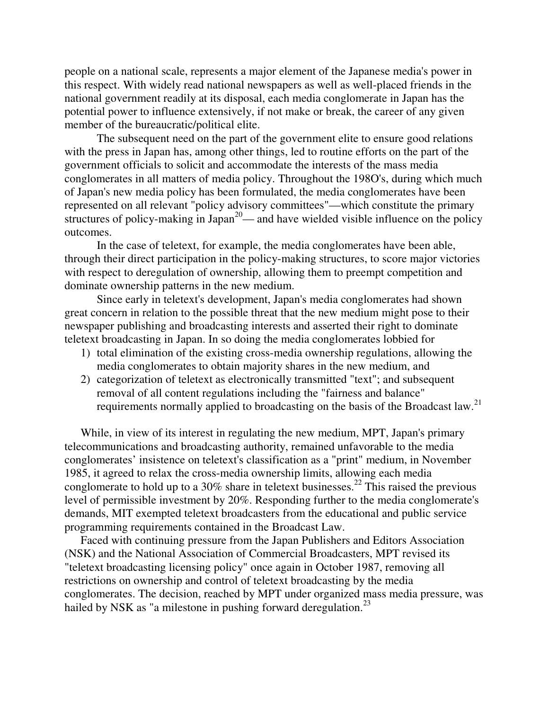people on a national scale, represents a major element of the Japanese media's power in this respect. With widely read national newspapers as well as well-placed friends in the national government readily at its disposal, each media conglomerate in Japan has the potential power to influence extensively, if not make or break, the career of any given member of the bureaucratic/political elite.

The subsequent need on the part of the government elite to ensure good relations with the press in Japan has, among other things, led to routine efforts on the part of the government officials to solicit and accommodate the interests of the mass media conglomerates in all matters of media policy. Throughout the 198O's, during which much of Japan's new media policy has been formulated, the media conglomerates have been represented on all relevant "policy advisory committees"—which constitute the primary structures of policy-making in Japan<sup>20</sup>— and have wielded visible influence on the policy outcomes.

In the case of teletext, for example, the media conglomerates have been able, through their direct participation in the policy-making structures, to score major victories with respect to deregulation of ownership, allowing them to preempt competition and dominate ownership patterns in the new medium.

Since early in teletext's development, Japan's media conglomerates had shown great concern in relation to the possible threat that the new medium might pose to their newspaper publishing and broadcasting interests and asserted their right to dominate teletext broadcasting in Japan. In so doing the media conglomerates lobbied for

- 1) total elimination of the existing cross-media ownership regulations, allowing the media conglomerates to obtain majority shares in the new medium, and
- 2) categorization of teletext as electronically transmitted "text"; and subsequent removal of all content regulations including the "fairness and balance" requirements normally applied to broadcasting on the basis of the Broadcast law.<sup>21</sup>

While, in view of its interest in regulating the new medium, MPT, Japan's primary telecommunications and broadcasting authority, remained unfavorable to the media conglomerates' insistence on teletext's classification as a "print" medium, in November 1985, it agreed to relax the cross-media ownership limits, allowing each media conglomerate to hold up to a 30% share in teletext businesses.<sup>22</sup> This raised the previous level of permissible investment by 20%. Responding further to the media conglomerate's demands, MIT exempted teletext broadcasters from the educational and public service programming requirements contained in the Broadcast Law.

Faced with continuing pressure from the Japan Publishers and Editors Association (NSK) and the National Association of Commercial Broadcasters, MPT revised its "teletext broadcasting licensing policy" once again in October 1987, removing all restrictions on ownership and control of teletext broadcasting by the media conglomerates. The decision, reached by MPT under organized mass media pressure, was hailed by NSK as "a milestone in pushing forward deregulation.<sup>23</sup>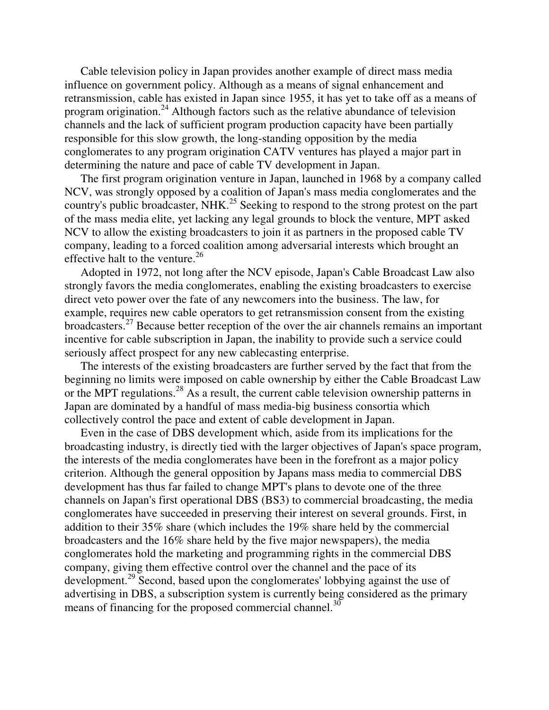Cable television policy in Japan provides another example of direct mass media influence on government policy. Although as a means of signal enhancement and retransmission, cable has existed in Japan since 1955, it has yet to take off as a means of program origination.<sup>24</sup> Although factors such as the relative abundance of television channels and the lack of sufficient program production capacity have been partially responsible for this slow growth, the long-standing opposition by the media conglomerates to any program origination CATV ventures has played a major part in determining the nature and pace of cable TV development in Japan.

The first program origination venture in Japan, launched in 1968 by a company called NCV, was strongly opposed by a coalition of Japan's mass media conglomerates and the country's public broadcaster, NHK.<sup>25</sup> Seeking to respond to the strong protest on the part of the mass media elite, yet lacking any legal grounds to block the venture, MPT asked NCV to allow the existing broadcasters to join it as partners in the proposed cable TV company, leading to a forced coalition among adversarial interests which brought an effective halt to the venture. $^{26}$ 

Adopted in 1972, not long after the NCV episode, Japan's Cable Broadcast Law also strongly favors the media conglomerates, enabling the existing broadcasters to exercise direct veto power over the fate of any newcomers into the business. The law, for example, requires new cable operators to get retransmission consent from the existing broadcasters.<sup>27</sup> Because better reception of the over the air channels remains an important incentive for cable subscription in Japan, the inability to provide such a service could seriously affect prospect for any new cablecasting enterprise.

The interests of the existing broadcasters are further served by the fact that from the beginning no limits were imposed on cable ownership by either the Cable Broadcast Law or the MPT regulations.<sup>28</sup> As a result, the current cable television ownership patterns in Japan are dominated by a handful of mass media-big business consortia which collectively control the pace and extent of cable development in Japan.

Even in the case of DBS development which, aside from its implications for the broadcasting industry, is directly tied with the larger objectives of Japan's space program, the interests of the media conglomerates have been in the forefront as a major policy criterion. Although the general opposition by Japans mass media to commercial DBS development has thus far failed to change MPT's plans to devote one of the three channels on Japan's first operational DBS (BS3) to commercial broadcasting, the media conglomerates have succeeded in preserving their interest on several grounds. First, in addition to their 35% share (which includes the 19% share held by the commercial broadcasters and the 16% share held by the five major newspapers), the media conglomerates hold the marketing and programming rights in the commercial DBS company, giving them effective control over the channel and the pace of its development.<sup>29</sup> Second, based upon the conglomerates' lobbying against the use of advertising in DBS, a subscription system is currently being considered as the primary means of financing for the proposed commercial channel.<sup>30</sup>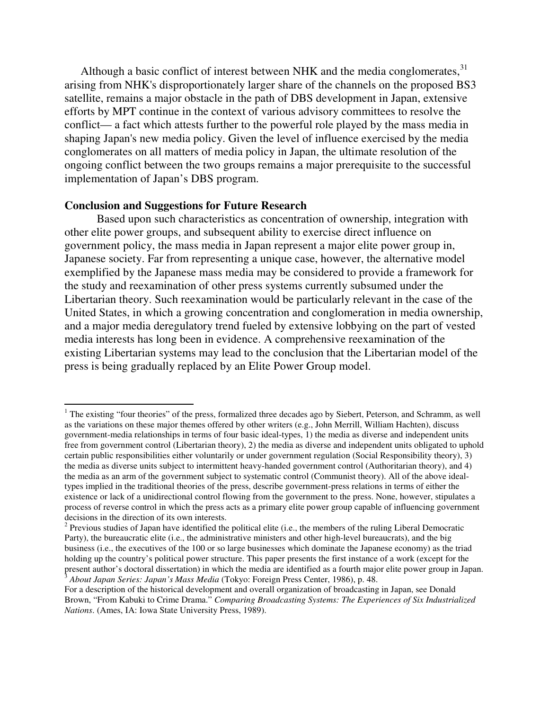Although a basic conflict of interest between NHK and the media conglomerates,  $31$ arising from NHK's disproportionately larger share of the channels on the proposed BS3 satellite, remains a major obstacle in the path of DBS development in Japan, extensive efforts by MPT continue in the context of various advisory committees to resolve the conflict— a fact which attests further to the powerful role played by the mass media in shaping Japan's new media policy. Given the level of influence exercised by the media conglomerates on all matters of media policy in Japan, the ultimate resolution of the ongoing conflict between the two groups remains a major prerequisite to the successful implementation of Japan's DBS program.

#### **Conclusion and Suggestions for Future Research**

l

Based upon such characteristics as concentration of ownership, integration with other elite power groups, and subsequent ability to exercise direct influence on government policy, the mass media in Japan represent a major elite power group in, Japanese society. Far from representing a unique case, however, the alternative model exemplified by the Japanese mass media may be considered to provide a framework for the study and reexamination of other press systems currently subsumed under the Libertarian theory. Such reexamination would be particularly relevant in the case of the United States, in which a growing concentration and conglomeration in media ownership, and a major media deregulatory trend fueled by extensive lobbying on the part of vested media interests has long been in evidence. A comprehensive reexamination of the existing Libertarian systems may lead to the conclusion that the Libertarian model of the press is being gradually replaced by an Elite Power Group model.

<sup>&</sup>lt;sup>1</sup> The existing "four theories" of the press, formalized three decades ago by Siebert, Peterson, and Schramm, as well as the variations on these major themes offered by other writers (e.g., John Merrill, William Hachten), discuss government-media relationships in terms of four basic ideal-types, 1) the media as diverse and independent units free from government control (Libertarian theory), 2) the media as diverse and independent units obligated to uphold certain public responsibilities either voluntarily or under government regulation (Social Responsibility theory), 3) the media as diverse units subject to intermittent heavy-handed government control (Authoritarian theory), and 4) the media as an arm of the government subject to systematic control (Communist theory). All of the above idealtypes implied in the traditional theories of the press, describe government-press relations in terms of either the existence or lack of a unidirectional control flowing from the government to the press. None, however, stipulates a process of reverse control in which the press acts as a primary elite power group capable of influencing government decisions in the direction of its own interests.

 $2$  Previous studies of Japan have identified the political elite (i.e., the members of the ruling Liberal Democratic Party), the bureaucratic elite (i.e., the administrative ministers and other high-level bureaucrats), and the big business (i.e., the executives of the 100 or so large businesses which dominate the Japanese economy) as the triad holding up the country's political power structure. This paper presents the first instance of a work (except for the present author's doctoral dissertation) in which the media are identified as a fourth major elite power group in Japan. <sup>3</sup> *About Japan Series: Japan's Mass Media* (Tokyo: Foreign Press Center, 1986), p. 48.

For a description of the historical development and overall organization of broadcasting in Japan, see Donald Brown, "From Kabuki to Crime Drama." *Comparing Broadcasting Systems: The Experiences of Six Industrialized Nations*. (Ames, IA: Iowa State University Press, 1989).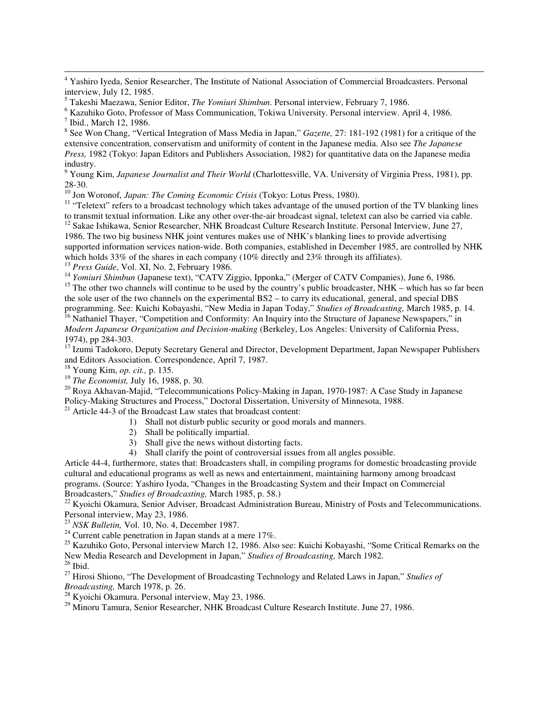6 Kazuhiko Goto, Professor of Mass Communication, Tokiwa University. Personal interview. April 4, 1986.

<sup>7</sup> Ibid., March 12, 1986.

l

8 See Won Chang, "Vertical Integration of Mass Media in Japan," *Gazette,* 27: 181-192 (1981) for a critique of the extensive concentration, conservatism and uniformity of content in the Japanese media. Also see *The Japanese Press,* 1982 (Tokyo: Japan Editors and Publishers Association, 1982) for quantitative data on the Japanese media industry.

9 Young Kim, *Japanese Journalist and Their World* (Charlottesville, VA. University of Virginia Press, 1981), pp. 28-30.

<sup>10</sup> Jon Woronof, *Japan: The Coming Economic Crisis* (Tokyo: Lotus Press, 1980).

<sup>11</sup> "Teletext" refers to a broadcast technology which takes advantage of the unused portion of the TV blanking lines to transmit textual information. Like any other over-the-air broadcast signal, teletext can also be carried via cable. <sup>12</sup> Sakae Ishikawa, Senior Researcher, NHK Broadcast Culture Research Institute. Personal Interview, June 27, 1986. The two big business NHK joint ventures makes use of NHK's blanking lines to provide advertising supported information services nation-wide. Both companies, established in December 1985, are controlled by NHK which holds 33% of the shares in each company (10% directly and 23% through its affiliates).

<sup>13</sup> *Press Guide*, Vol. XI, No. 2, February 1986.

<sup>14</sup> *Yomiuri Shimbun* (Japanese text), "CATV Ziggio, Ipponka," (Merger of CATV Companies), June 6, 1986.

<sup>15</sup> The other two channels will continue to be used by the country's public broadcaster, NHK – which has so far been the sole user of the two channels on the experimental BS2 – to carry its educational, general, and special DBS programming. See: Kuichi Kobayashi, "New Media in Japan Today," *Studies of Broadcasting,* March 1985, p. 14.

<sup>16</sup> Nathaniel Thayer, "Competition and Conformity: An Inquiry into the Structure of Japanese Newspapers," in *Modern Japanese Organization and Decision-making* (Berkeley, Los Angeles: University of California Press, 1974), pp 284-303.

<sup>17</sup> Izumi Tadokoro, Deputy Secretary General and Director, Development Department, Japan Newspaper Publishers and Editors Association. Correspondence, April 7, 1987.

<sup>18</sup> Young Kim, *op. cit.,* p. 135.

<sup>19</sup> *The Economist,* July 16, 1988, p. 30.

<sup>20</sup> Roya Akhavan-Majid, "Telecommunications Policy-Making in Japan, 1970-1987: A Case Study in Japanese Policy-Making Structures and Process," Doctoral Dissertation, University of Minnesota, 1988.

 $21$  Article 44-3 of the Broadcast Law states that broadcast content:

- 1) Shall not disturb public security or good morals and manners.
- 2) Shall be politically impartial.
- 3) Shall give the news without distorting facts.
- 4) Shall clarify the point of controversial issues from all angles possible.

Article 44-4, furthermore, states that: Broadcasters shall, in compiling programs for domestic broadcasting provide cultural and educational programs as well as news and entertainment, maintaining harmony among broadcast programs. (Source: Yashiro Iyoda, "Changes in the Broadcasting System and their Impact on Commercial Broadcasters," *Studies of Broadcasting,* March 1985, p. 58.)

<sup>22</sup> Kyoichi Okamura, Senior Adviser, Broadcast Administration Bureau, Ministry of Posts and Telecommunications. Personal interview, May 23, 1986.

<sup>23</sup> *NSK Bulletin,* Vol. 10, No. 4, December 1987.

<sup>24</sup> Current cable penetration in Japan stands at a mere  $17\%$ .

<sup>25</sup> Kazuhiko Goto, Personal interview March 12, 1986. Also see: Kuichi Kobayashi, "Some Critical Remarks on the New Media Research and Development in Japan," *Studies of Broadcasting,* March 1982.

 $26$  Ibid.

<sup>27</sup> Hirosi Shiono, "The Development of Broadcasting Technology and Related Laws in Japan," *Studies of Broadcasting,* March 1978, p. 26.

<sup>28</sup> Kyoichi Okamura. Personal interview, May 23, 1986.

<sup>29</sup> Minoru Tamura, Senior Researcher, NHK Broadcast Culture Research Institute. June 27, 1986.

<sup>&</sup>lt;sup>4</sup> Yashiro Iyeda, Senior Researcher, The Institute of National Association of Commercial Broadcasters. Personal interview, July 12, 1985.

<sup>5</sup> Takeshi Maezawa, Senior Editor, *The Yomiuri Shimbun*. Personal interview, February 7, 1986.